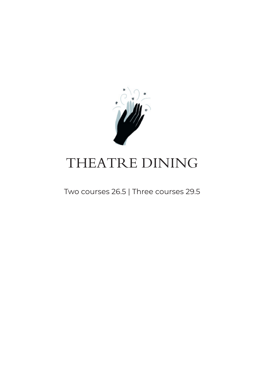

# THEATRE DINING

Two courses 26.5 | Three courses 29.5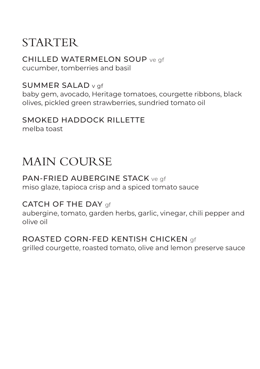## **STARTER**

CHILLED WATERMELON SOUP ve gf cucumber, tomberries and basil

#### SUMMER SALAD v gf

baby gem, avocado, Heritage tomatoes, courgette ribbons, black olives, pickled green strawberries, sundried tomato oil

### SMOKED HADDOCK RILLETTE

melba toast

## MAIN COURSE

#### PAN-FRIED AUBERGINE STACK ve gf

miso glaze, tapioca crisp and a spiced tomato sauce

#### CATCH OF THE DAY of

aubergine, tomato, garden herbs, garlic, vinegar, chili pepper and olive oil

### ROASTED CORN-FED KENTISH CHICKEN gf

grilled courgette, roasted tomato, olive and lemon preserve sauce